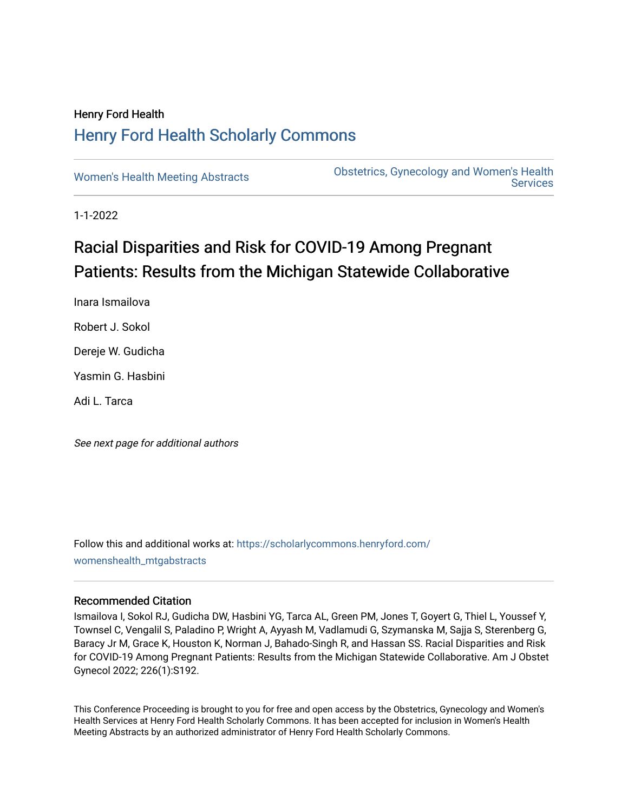# Henry Ford Health [Henry Ford Health Scholarly Commons](https://scholarlycommons.henryford.com/)

[Women's Health Meeting Abstracts](https://scholarlycommons.henryford.com/womenshealth_mtgabstracts) **Obstetrics, Gynecology and Women's Health Services** 

1-1-2022

# Racial Disparities and Risk for COVID-19 Among Pregnant Patients: Results from the Michigan Statewide Collaborative

Inara Ismailova Robert J. Sokol Dereje W. Gudicha Yasmin G. Hasbini Adi L. Tarca

See next page for additional authors

Follow this and additional works at: [https://scholarlycommons.henryford.com/](https://scholarlycommons.henryford.com/womenshealth_mtgabstracts?utm_source=scholarlycommons.henryford.com%2Fwomenshealth_mtgabstracts%2F68&utm_medium=PDF&utm_campaign=PDFCoverPages) [womenshealth\\_mtgabstracts](https://scholarlycommons.henryford.com/womenshealth_mtgabstracts?utm_source=scholarlycommons.henryford.com%2Fwomenshealth_mtgabstracts%2F68&utm_medium=PDF&utm_campaign=PDFCoverPages)

## Recommended Citation

Ismailova I, Sokol RJ, Gudicha DW, Hasbini YG, Tarca AL, Green PM, Jones T, Goyert G, Thiel L, Youssef Y, Townsel C, Vengalil S, Paladino P, Wright A, Ayyash M, Vadlamudi G, Szymanska M, Sajja S, Sterenberg G, Baracy Jr M, Grace K, Houston K, Norman J, Bahado-Singh R, and Hassan SS. Racial Disparities and Risk for COVID-19 Among Pregnant Patients: Results from the Michigan Statewide Collaborative. Am J Obstet Gynecol 2022; 226(1):S192.

This Conference Proceeding is brought to you for free and open access by the Obstetrics, Gynecology and Women's Health Services at Henry Ford Health Scholarly Commons. It has been accepted for inclusion in Women's Health Meeting Abstracts by an authorized administrator of Henry Ford Health Scholarly Commons.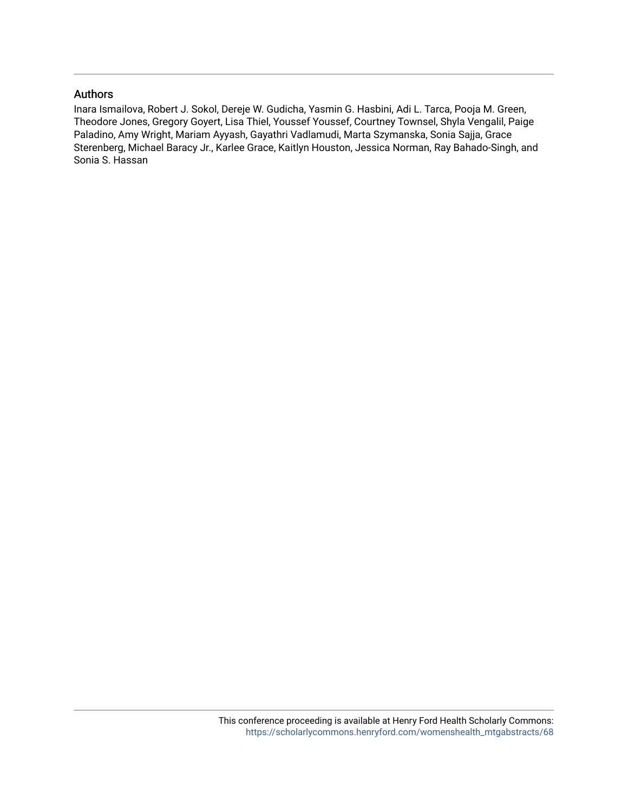# Authors

Inara Ismailova, Robert J. Sokol, Dereje W. Gudicha, Yasmin G. Hasbini, Adi L. Tarca, Pooja M. Green, Theodore Jones, Gregory Goyert, Lisa Thiel, Youssef Youssef, Courtney Townsel, Shyla Vengalil, Paige Paladino, Amy Wright, Mariam Ayyash, Gayathri Vadlamudi, Marta Szymanska, Sonia Sajja, Grace Sterenberg, Michael Baracy Jr., Karlee Grace, Kaitlyn Houston, Jessica Norman, Ray Bahado-Singh, and Sonia S. Hassan